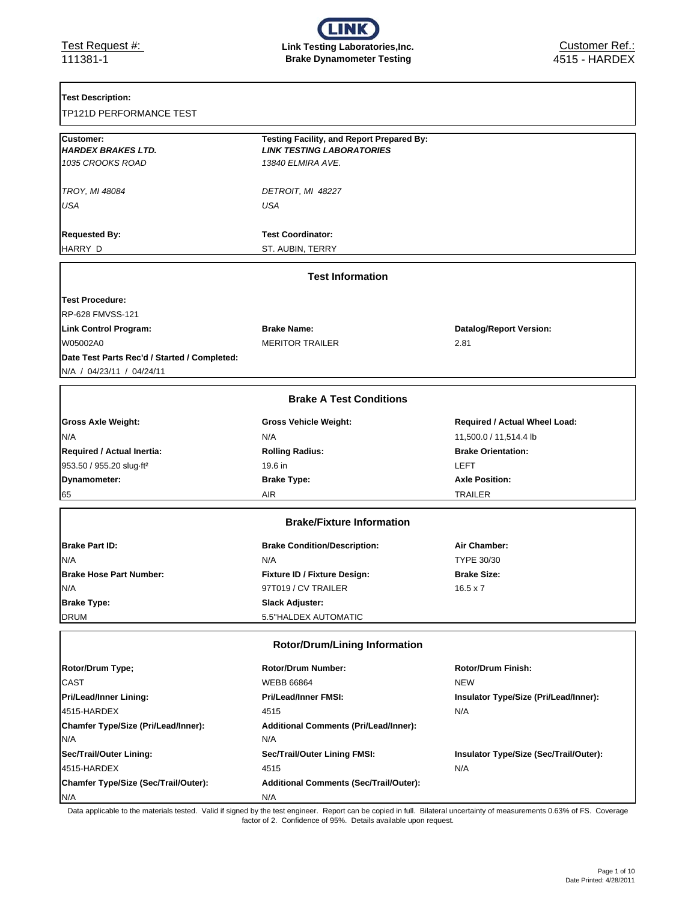### **Test Description:**

| TP121D PERFORMANCE TEST |  |  |  |
|-------------------------|--|--|--|
|-------------------------|--|--|--|

| <b>Customer:</b>                             | Testing Facility, and Report Prepared By:     |                                        |
|----------------------------------------------|-----------------------------------------------|----------------------------------------|
| <b>HARDEX BRAKES LTD.</b>                    | <b>LINK TESTING LABORATORIES</b>              |                                        |
| 1035 CROOKS ROAD                             | 13840 ELMIRA AVE.                             |                                        |
| <b>TROY, MI 48084</b>                        | DETROIT, MI 48227                             |                                        |
| USA                                          | <b>USA</b>                                    |                                        |
|                                              |                                               |                                        |
| <b>Requested By:</b>                         | <b>Test Coordinator:</b>                      |                                        |
| HARRY D                                      | ST. AUBIN, TERRY                              |                                        |
|                                              | <b>Test Information</b>                       |                                        |
| <b>Test Procedure:</b>                       |                                               |                                        |
| <b>RP-628 FMVSS-121</b>                      |                                               |                                        |
| <b>Link Control Program:</b>                 | <b>Brake Name:</b>                            | <b>Datalog/Report Version:</b>         |
| W05002A0                                     | <b>MERITOR TRAILER</b>                        | 2.81                                   |
| Date Test Parts Rec'd / Started / Completed: |                                               |                                        |
| N/A / 04/23/11 / 04/24/11                    |                                               |                                        |
|                                              | <b>Brake A Test Conditions</b>                |                                        |
| <b>Gross Axle Weight:</b>                    | <b>Gross Vehicle Weight:</b>                  | <b>Required / Actual Wheel Load:</b>   |
| N/A                                          | N/A                                           | 11,500.0 / 11,514.4 lb                 |
| Required / Actual Inertia:                   | <b>Rolling Radius:</b>                        | <b>Brake Orientation:</b>              |
| 953.50 / 955.20 slug-ft <sup>2</sup>         | 19.6 in                                       | LEFT                                   |
| Dynamometer:                                 | <b>Brake Type:</b>                            | <b>Axle Position:</b>                  |
| 65                                           | AIR                                           | <b>TRAILER</b>                         |
|                                              | <b>Brake/Fixture Information</b>              |                                        |
|                                              |                                               |                                        |
| <b>Brake Part ID:</b>                        | <b>Brake Condition/Description:</b>           | Air Chamber:                           |
| N/A                                          | N/A                                           | TYPE 30/30                             |
| <b>Brake Hose Part Number:</b>               | Fixture ID / Fixture Design:                  | <b>Brake Size:</b>                     |
| N/A                                          | 97T019 / CV TRAILER                           | $16.5 \times 7$                        |
| <b>Brake Type:</b>                           | <b>Slack Adjuster:</b>                        |                                        |
| <b>DRUM</b>                                  | 5.5"HALDEX AUTOMATIC                          |                                        |
|                                              | <b>Rotor/Drum/Lining Information</b>          |                                        |
| Rotor/Drum Type;                             | <b>Rotor/Drum Number:</b>                     | <b>Rotor/Drum Finish:</b>              |
| <b>CAST</b>                                  | <b>WEBB 66864</b>                             | <b>NEW</b>                             |
| <b>Pri/Lead/Inner Lining:</b>                | <b>Pri/Lead/Inner FMSI:</b>                   | Insulator Type/Size (Pri/Lead/Inner):  |
| 4515-HARDEX                                  | 4515                                          | N/A                                    |
| Chamfer Type/Size (Pri/Lead/Inner):          | <b>Additional Comments (Pri/Lead/Inner):</b>  |                                        |
| N/A                                          | N/A                                           |                                        |
| Sec/Trail/Outer Lining:                      | Sec/Trail/Outer Lining FMSI:                  | Insulator Type/Size (Sec/Trail/Outer): |
| 4515-HARDEX                                  | 4515                                          | N/A                                    |
| Chamfer Type/Size (Sec/Trail/Outer):         | <b>Additional Comments (Sec/Trail/Outer):</b> |                                        |
| N/A                                          | N/A                                           |                                        |

Data applicable to the materials tested. Valid if signed by the test engineer. Report can be copied in full. Bilateral uncertainty of measurements 0.63% of FS. Coverage factor of 2. Confidence of 95%. Details available upon request.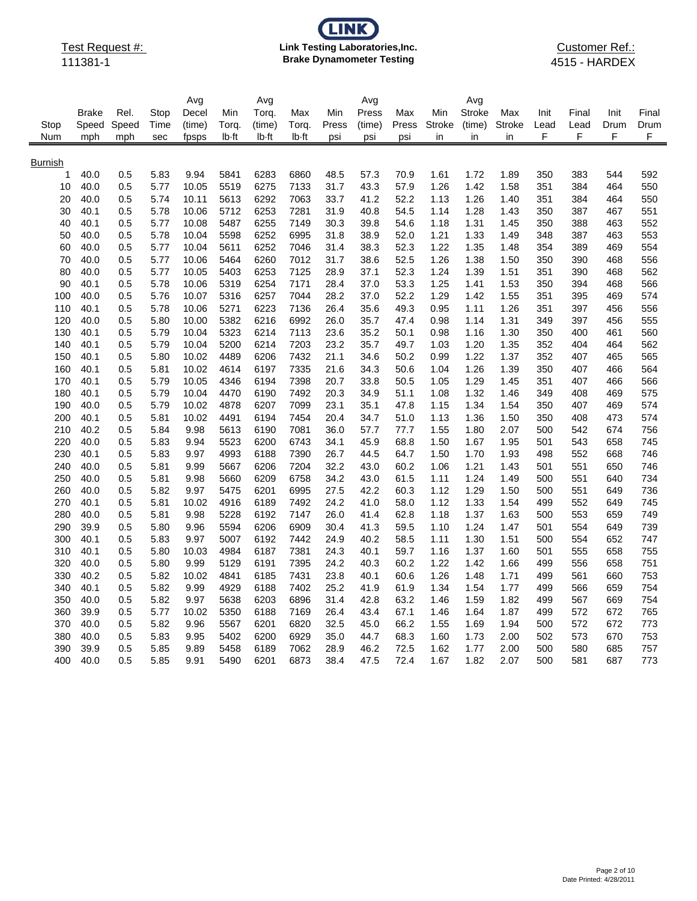# **LINK Link Testing Laboratories,Inc. Brake Dynamometer Testing**

Customer Ref.: 4515 - HARDEX

|                |              |            |              | Avg            |              | Avg          |              |              | Avg          |              |               | Avg           |               |            |            |            |            |
|----------------|--------------|------------|--------------|----------------|--------------|--------------|--------------|--------------|--------------|--------------|---------------|---------------|---------------|------------|------------|------------|------------|
|                | <b>Brake</b> | Rel.       | Stop         | Decel          | Min          | Torq.        | Max          | Min          | Press        | Max          | Min           | <b>Stroke</b> | Max           | Init       | Final      | Init       | Final      |
| Stop           | Speed        | Speed      | Time         | (time)         | Torq.        | (time)       | Torq.        | Press        | (time)       | Press        | <b>Stroke</b> | (time)        | <b>Stroke</b> | Lead       | Lead       | Drum       | Drum       |
| Num            | mph          | mph        | sec          | fpsps          | lb-ft        | lb-ft        | lb-ft        | psi          | psi          | psi          | in            | in            | in            | F          | F          | F          | F          |
|                |              |            |              |                |              |              |              |              |              |              |               |               |               |            |            |            |            |
| <b>Burnish</b> |              |            |              |                |              |              |              |              |              |              |               |               |               |            |            |            |            |
| 1              | 40.0         | 0.5        | 5.83         | 9.94           | 5841<br>5519 | 6283<br>6275 | 6860         | 48.5         | 57.3         | 70.9         | 1.61          | 1.72          | 1.89          | 350        | 383        | 544        | 592        |
| 10<br>20       | 40.0<br>40.0 | 0.5<br>0.5 | 5.77<br>5.74 | 10.05<br>10.11 | 5613         | 6292         | 7133<br>7063 | 31.7<br>33.7 | 43.3<br>41.2 | 57.9<br>52.2 | 1.26<br>1.13  | 1.42<br>1.26  | 1.58<br>1.40  | 351<br>351 | 384<br>384 | 464<br>464 | 550<br>550 |
| 30             | 40.1         | 0.5        | 5.78         | 10.06          | 5712         | 6253         | 7281         | 31.9         | 40.8         | 54.5         | 1.14          | 1.28          | 1.43          | 350        | 387        | 467        | 551        |
| 40             | 40.1         | 0.5        | 5.77         | 10.08          | 5487         | 6255         | 7149         | 30.3         | 39.8         | 54.6         | 1.18          | 1.31          | 1.45          | 350        | 388        | 463        | 552        |
| 50             | 40.0         | 0.5        | 5.78         | 10.04          | 5598         | 6252         | 6995         | 31.8         | 38.9         | 52.0         | 1.21          | 1.33          | 1.49          | 348        | 387        | 463        | 553        |
| 60             | 40.0         | 0.5        | 5.77         | 10.04          | 5611         | 6252         | 7046         | 31.4         | 38.3         | 52.3         | 1.22          | 1.35          | 1.48          | 354        | 389        | 469        | 554        |
| 70             | 40.0         | 0.5        | 5.77         | 10.06          | 5464         | 6260         | 7012         | 31.7         | 38.6         | 52.5         | 1.26          | 1.38          | 1.50          | 350        | 390        | 468        | 556        |
| 80             | 40.0         | 0.5        | 5.77         | 10.05          | 5403         | 6253         | 7125         | 28.9         | 37.1         | 52.3         | 1.24          | 1.39          | 1.51          | 351        | 390        | 468        | 562        |
| 90             | 40.1         | 0.5        | 5.78         | 10.06          | 5319         | 6254         | 7171         | 28.4         | 37.0         | 53.3         | 1.25          | 1.41          | 1.53          | 350        | 394        | 468        | 566        |
| 100            | 40.0         | 0.5        | 5.76         | 10.07          | 5316         | 6257         | 7044         | 28.2         | 37.0         | 52.2         | 1.29          | 1.42          | 1.55          | 351        | 395        | 469        | 574        |
| 110            | 40.1         | 0.5        | 5.78         | 10.06          | 5271         | 6223         | 7136         | 26.4         | 35.6         | 49.3         | 0.95          | 1.11          | 1.26          | 351        | 397        | 456        | 556        |
| 120            | 40.0         | 0.5        | 5.80         | 10.00          | 5382         | 6216         | 6992         | 26.0         | 35.7         | 47.4         | 0.98          | 1.14          | 1.31          | 349        | 397        | 456        | 555        |
| 130            | 40.1         | 0.5        | 5.79         | 10.04          | 5323         | 6214         | 7113         | 23.6         | 35.2         | 50.1         | 0.98          | 1.16          | 1.30          | 350        | 400        | 461        | 560        |
| 140            | 40.1         | 0.5        | 5.79         | 10.04          | 5200         | 6214         | 7203         | 23.2         | 35.7         | 49.7         | 1.03          | 1.20          | 1.35          | 352        | 404        | 464        | 562        |
| 150            | 40.1         | 0.5        | 5.80         | 10.02          | 4489         | 6206         | 7432         | 21.1         | 34.6         | 50.2         | 0.99          | 1.22          | 1.37          | 352        | 407        | 465        | 565        |
| 160            | 40.1         | 0.5        | 5.81         | 10.02          | 4614         | 6197         | 7335         | 21.6         | 34.3         | 50.6         | 1.04          | 1.26          | 1.39          | 350        | 407        | 466        | 564        |
| 170            | 40.1         | 0.5        | 5.79         | 10.05          | 4346         | 6194         | 7398         | 20.7         | 33.8         | 50.5         | 1.05          | 1.29          | 1.45          | 351        | 407        | 466        | 566        |
| 180            | 40.1         | 0.5        | 5.79         | 10.04          | 4470         | 6190         | 7492         | 20.3         | 34.9         | 51.1         | 1.08          | 1.32          | 1.46          | 349        | 408        | 469        | 575        |
| 190            | 40.0         | 0.5        | 5.79         | 10.02          | 4878         | 6207         | 7099         | 23.1         | 35.1         | 47.8         | 1.15          | 1.34          | 1.54          | 350        | 407        | 469        | 574        |
| 200            | 40.1         | 0.5        | 5.81         | 10.02          | 4491         | 6194         | 7454         | 20.4         | 34.7         | 51.0         | 1.13          | 1.36          | 1.50          | 350        | 408        | 473        | 574        |
| 210            | 40.2         | 0.5        | 5.84         | 9.98           | 5613         | 6190         | 7081         | 36.0         | 57.7         | 77.7         | 1.55          | 1.80          | 2.07          | 500        | 542        | 674        | 756        |
| 220            | 40.0         | 0.5        | 5.83         | 9.94           | 5523         | 6200         | 6743         | 34.1         | 45.9         | 68.8         | 1.50          | 1.67          | 1.95          | 501        | 543        | 658        | 745        |
| 230            | 40.1         | 0.5        | 5.83         | 9.97           | 4993         | 6188         | 7390         | 26.7         | 44.5         | 64.7         | 1.50          | 1.70          | 1.93          | 498        | 552        | 668        | 746        |
| 240            | 40.0         | 0.5        | 5.81         | 9.99           | 5667         | 6206         | 7204         | 32.2         | 43.0         | 60.2         | 1.06          | 1.21          | 1.43          | 501        | 551        | 650        | 746        |
| 250<br>260     | 40.0<br>40.0 | 0.5<br>0.5 | 5.81<br>5.82 | 9.98<br>9.97   | 5660<br>5475 | 6209<br>6201 | 6758<br>6995 | 34.2<br>27.5 | 43.0<br>42.2 | 61.5<br>60.3 | 1.11<br>1.12  | 1.24<br>1.29  | 1.49<br>1.50  | 500<br>500 | 551<br>551 | 640<br>649 | 734<br>736 |
| 270            | 40.1         | 0.5        | 5.81         | 10.02          | 4916         | 6189         | 7492         | 24.2         | 41.0         | 58.0         | 1.12          | 1.33          | 1.54          | 499        | 552        | 649        | 745        |
| 280            | 40.0         | 0.5        | 5.81         | 9.98           | 5228         | 6192         | 7147         | 26.0         | 41.4         | 62.8         | 1.18          | 1.37          | 1.63          | 500        | 553        | 659        | 749        |
| 290            | 39.9         | 0.5        | 5.80         | 9.96           | 5594         | 6206         | 6909         | 30.4         | 41.3         | 59.5         | 1.10          | 1.24          | 1.47          | 501        | 554        | 649        | 739        |
| 300            | 40.1         | 0.5        | 5.83         | 9.97           | 5007         | 6192         | 7442         | 24.9         | 40.2         | 58.5         | 1.11          | 1.30          | 1.51          | 500        | 554        | 652        | 747        |
| 310            | 40.1         | 0.5        | 5.80         | 10.03          | 4984         | 6187         | 7381         | 24.3         | 40.1         | 59.7         | 1.16          | 1.37          | 1.60          | 501        | 555        | 658        | 755        |
| 320            | 40.0         | 0.5        | 5.80         | 9.99           | 5129         | 6191         | 7395         | 24.2         | 40.3         | 60.2         | 1.22          | 1.42          | 1.66          | 499        | 556        | 658        | 751        |
| 330            | 40.2         | 0.5        | 5.82         | 10.02          | 4841         | 6185         | 7431         | 23.8         | 40.1         | 60.6         | 1.26          | 1.48          | 1.71          | 499        | 561        | 660        | 753        |
| 340            | 40.1         | 0.5        | 5.82         | 9.99           | 4929         | 6188         | 7402         | 25.2         | 41.9         | 61.9         | 1.34          | 1.54          | 1.77          | 499        | 566        | 659        | 754        |
| 350            | 40.0         | 0.5        | 5.82         | 9.97           | 5638         | 6203         | 6896         | 31.4         | 42.8         | 63.2         | 1.46          | 1.59          | 1.82          | 499        | 567        | 669        | 754        |
| 360            | 39.9         | 0.5        | 5.77         | 10.02          | 5350         | 6188         | 7169         | 26.4         | 43.4         | 67.1         | 1.46          | 1.64          | 1.87          | 499        | 572        | 672        | 765        |
| 370            | 40.0         | 0.5        | 5.82         | 9.96           | 5567         | 6201         | 6820         | 32.5         | 45.0         | 66.2         | 1.55          | 1.69          | 1.94          | 500        | 572        | 672        | 773        |
| 380            | 40.0         | 0.5        | 5.83         | 9.95           | 5402         | 6200         | 6929         | 35.0         | 44.7         | 68.3         | 1.60          | 1.73          | 2.00          | 502        | 573        | 670        | 753        |
| 390            | 39.9         | 0.5        | 5.85         | 9.89           | 5458         | 6189         | 7062         | 28.9         | 46.2         | 72.5         | 1.62          | 1.77          | 2.00          | 500        | 580        | 685        | 757        |
| 400            | 40.0         | 0.5        | 5.85         | 9.91           | 5490         | 6201         | 6873         | 38.4         | 47.5         | 72.4         | 1.67          | 1.82          | 2.07          | 500        | 581        | 687        | 773        |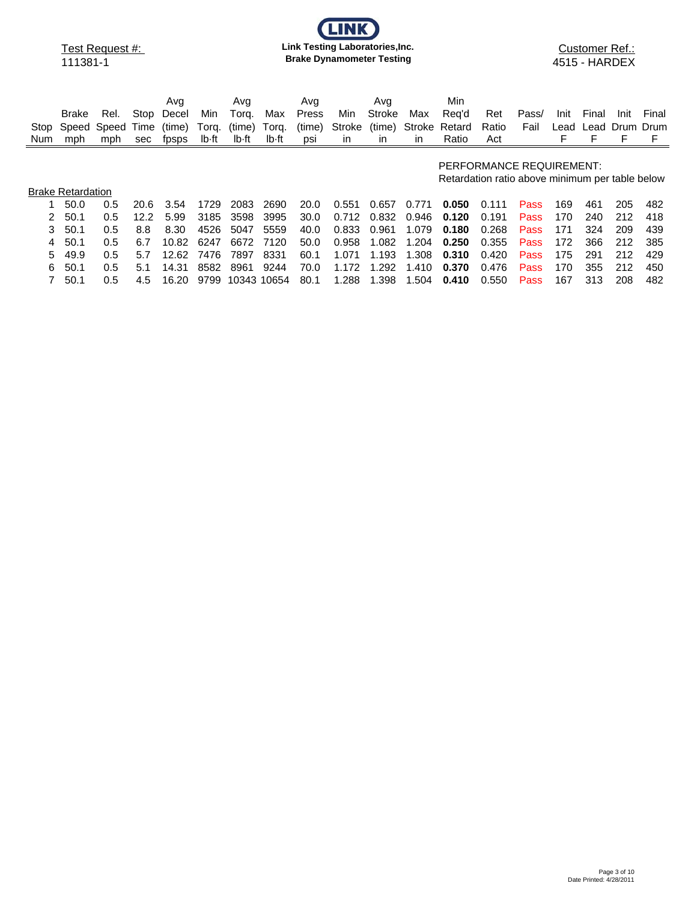# **LINK Link Testing Laboratories,Inc. Brake Dynamometer Testing**

Customer Ref.: 4515 - HARDEX

| Stop<br>Num | Brake<br>Speed<br>mph    | Rel.<br>Speed<br>mph | Time<br>sec | Avg<br>Stop Decel<br>(time)<br>fpsps | Min.<br>Torq.<br>lb-ft | Avg<br>Tora.<br>(time)<br>lb-ft | Max<br>Torq.<br>lb-ft | Avg<br>Press<br>(time)<br>psi | Min<br>Stroke<br>in | Avg<br>Stroke<br>(time)<br><i>in</i> | Max<br>Stroke<br>in | Min<br>Reg'd<br>Retard<br>Ratio                                             | Ret<br>Ratio<br>Act | Pass/<br>Fail | Init<br>Lead<br>F | Final<br>Lead | Init.<br>Drum Drum | Final |
|-------------|--------------------------|----------------------|-------------|--------------------------------------|------------------------|---------------------------------|-----------------------|-------------------------------|---------------------|--------------------------------------|---------------------|-----------------------------------------------------------------------------|---------------------|---------------|-------------------|---------------|--------------------|-------|
|             |                          |                      |             |                                      |                        |                                 |                       |                               |                     |                                      |                     | PERFORMANCE REQUIREMENT:<br>Retardation ratio above minimum per table below |                     |               |                   |               |                    |       |
|             | <b>Brake Retardation</b> |                      |             |                                      |                        |                                 |                       |                               |                     |                                      |                     |                                                                             |                     |               |                   |               |                    |       |
|             | 50.0                     | 0.5                  | 20.6        | 3.54                                 | 1729                   | 2083                            | 2690                  | 20.0                          | 0.551               | 0.657                                | 0.771               | 0.050                                                                       | 0.111               | Pass          | 169               | 461           | 205                | 482   |
| 2           | 50.1                     | 0.5                  | 12.2        | 5.99                                 | 3185                   | 3598                            | 3995                  | 30.0                          | 0.712               | 0.832                                | 0.946               | 0.120                                                                       | 0.191               | Pass          | 170               | 240           | 212                | 418   |
| 3           | 50.1                     | 0.5                  | 8.8         | 8.30                                 | 4526                   | 5047                            | 5559                  | 40.0                          | 0.833               | 0.961                                | 1.079               | 0.180                                                                       | 0.268               | Pass          | 171               | 324           | 209                | 439   |
| 4           | 50.1                     | 0.5                  | 6.7         | 10.82                                | 6247                   | 6672                            | 7120                  | 50.0                          | 0.958               | 1.082                                | 1.204               | 0.250                                                                       | 0.355               | Pass          | 172               | 366           | 212                | 385   |
| 5.          | 49.9                     | 0.5                  | 5.7         | 12.62                                | 7476                   | 7897                            | 8331                  | 60.1                          | 1.071               | 1.193                                | 1.308               | 0.310                                                                       | 0.420               | Pass          | 175               | 291           | 212                | 429   |
| 6           | 50.1                     | 0.5                  | 5.1         | 14.31                                | 8582                   | 8961                            | 9244                  | 70.0                          | 1.172               | 1.292                                | .410                | 0.370                                                                       | 0.476               | Pass          | 170               | 355           | 212                | 450   |
|             | 50.1                     | 0.5                  | 4.5         | 16.20                                | 9799                   | 10343 10654                     |                       | 80.1                          | 1.288               | 1.398                                | 1.504               | 0.410                                                                       | 0.550               | Pass          | 167               | 313           | 208                | 482   |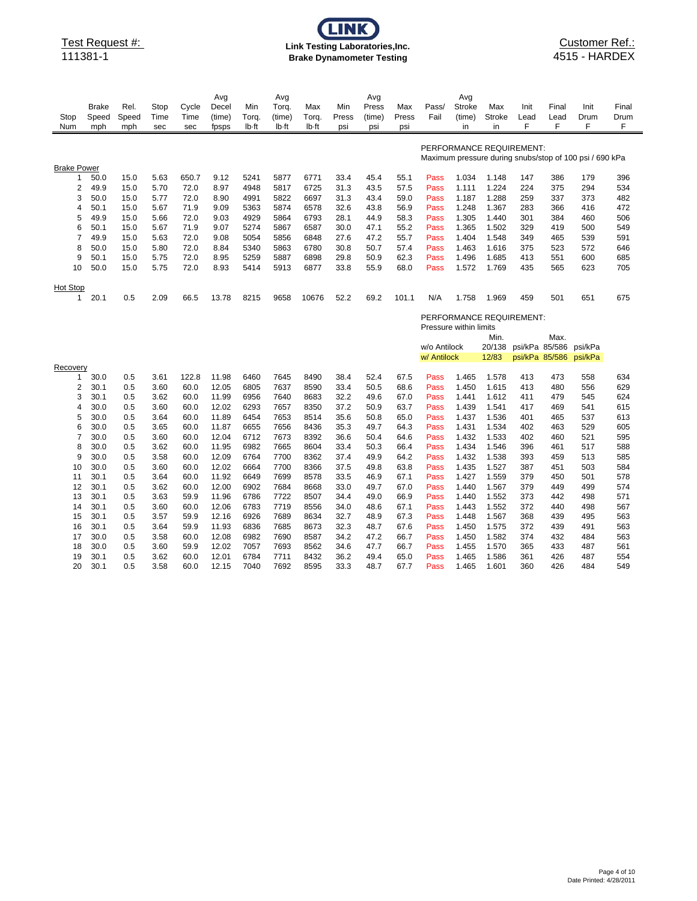# **CLINI Link Testing Laboratories,Inc. Brake Dynamometer Testing**

### Customer Ref.: 4515 - HARDEX

|                    |              |            |              |              | Avg            |              | Avg          |              |              | Avg          |              |                        | Avg            |                |                          |            |                                                         |            |
|--------------------|--------------|------------|--------------|--------------|----------------|--------------|--------------|--------------|--------------|--------------|--------------|------------------------|----------------|----------------|--------------------------|------------|---------------------------------------------------------|------------|
|                    | <b>Brake</b> | Rel.       | Stop         | Cycle        | Decel          | Min          | Torq.        | Max          | Min          | Press        | Max          | Pass/                  | Stroke         | Max            | Init                     | Final      | Init                                                    | Final      |
| Stop               | Speed        | Speed      | Time         | Time         | (time)         | Torg.        | (time)       | Torg.        | Press        | (time)       | Press        | Fail                   | (time)         | <b>Stroke</b>  | Lead                     | Lead       | Drum                                                    | Drum       |
| Num                | mph          | mph        | sec          | sec          | fpsps          | lb-ft        | lb-ft        | lb-ft        | psi          | psi          | psi          |                        | in             | in             | F                        | F          | F                                                       | F          |
|                    |              |            |              |              |                |              |              |              |              |              |              |                        |                |                |                          |            |                                                         |            |
|                    |              |            |              |              |                |              |              |              |              |              |              |                        |                |                | PERFORMANCE REQUIREMENT: |            |                                                         |            |
|                    |              |            |              |              |                |              |              |              |              |              |              |                        |                |                |                          |            | Maximum pressure during snubs/stop of 100 psi / 690 kPa |            |
| <b>Brake Power</b> |              |            |              |              |                |              |              |              |              |              |              |                        |                |                |                          |            |                                                         |            |
| 1                  | 50.0         | 15.0       | 5.63         | 650.7        | 9.12           | 5241         | 5877         | 6771         | 33.4         | 45.4         | 55.1         | Pass                   | 1.034          | 1.148          | 147                      | 386        | 179                                                     | 396        |
| 2                  | 49.9         | 15.0       | 5.70         | 72.0         | 8.97           | 4948         | 5817         | 6725         | 31.3         | 43.5         | 57.5         | Pass                   | 1.111          | 1.224          | 224                      | 375        | 294                                                     | 534        |
| 3                  | 50.0         | 15.0       | 5.77         | 72.0         | 8.90           | 4991         | 5822         | 6697         | 31.3         | 43.4         | 59.0         | Pass                   | 1.187          | 1.288          | 259                      | 337        | 373                                                     | 482        |
| 4                  | 50.1         | 15.0       | 5.67         | 71.9         | 9.09           | 5363         | 5874         | 6578         | 32.6         | 43.8         | 56.9         | Pass                   | 1.248          | 1.367          | 283                      | 366        | 416                                                     | 472        |
| 5                  | 49.9         | 15.0       | 5.66         | 72.0         | 9.03           | 4929         | 5864         | 6793         | 28.1         | 44.9         | 58.3         | Pass                   | 1.305          | 1.440          | 301                      | 384        | 460                                                     | 506        |
| 6                  | 50.1         | 15.0       | 5.67         | 71.9         | 9.07           | 5274         | 5867         | 6587         | 30.0         | 47.1         | 55.2         | Pass                   | 1.365          | 1.502          | 329                      | 419        | 500                                                     | 549        |
| $\overline{7}$     | 49.9         | 15.0       | 5.63         | 72.0         | 9.08           | 5054         | 5856         | 6848         | 27.6         | 47.2         | 55.7         | Pass                   | 1.404          | 1.548          | 349                      | 465        | 539                                                     | 591        |
| 8                  | 50.0         | 15.0       | 5.80         | 72.0         | 8.84           | 5340         | 5863         | 6780         | 30.8         | 50.7         | 57.4         | Pass                   | 1.463          | 1.616          | 375                      | 523        | 572                                                     | 646        |
| 9                  | 50.1         | 15.0       | 5.75         | 72.0         | 8.95           | 5259         | 5887         | 6898         | 29.8         | 50.9         | 62.3         | Pass                   | 1.496          | 1.685          | 413                      | 551        | 600                                                     | 685        |
| 10                 | 50.0         | 15.0       | 5.75         | 72.0         | 8.93           | 5414         | 5913         | 6877         | 33.8         | 55.9         | 68.0         | Pass                   | 1.572          | 1.769          | 435                      | 565        | 623                                                     | 705        |
|                    |              |            |              |              |                |              |              |              |              |              |              |                        |                |                |                          |            |                                                         |            |
| <b>Hot Stop</b>    |              |            |              |              |                |              |              |              |              |              |              |                        |                |                |                          |            |                                                         |            |
| 1                  | 20.1         | 0.5        | 2.09         | 66.5         | 13.78          | 8215         | 9658         | 10676        | 52.2         | 69.2         | 101.1        | N/A                    | 1.758          | 1.969          | 459                      | 501        | 651                                                     | 675        |
|                    |              |            |              |              |                |              |              |              |              |              |              |                        |                |                |                          |            |                                                         |            |
|                    |              |            |              |              |                |              |              |              |              |              |              |                        |                |                | PERFORMANCE REQUIREMENT: |            |                                                         |            |
|                    |              |            |              |              |                |              |              |              |              |              |              | Pressure within limits |                |                |                          |            |                                                         |            |
|                    |              |            |              |              |                |              |              |              |              |              |              |                        |                | Min.           |                          | Max.       |                                                         |            |
|                    |              |            |              |              |                |              |              |              |              |              |              | w/o Antilock           |                | 20/138         | psi/kPa 85/586           |            | psi/kPa                                                 |            |
|                    |              |            |              |              |                |              |              |              |              |              |              | w/ Antilock            |                | 12/83          | psi/kPa 85/586           |            | psi/kPa                                                 |            |
| Recovery           |              |            |              |              |                |              |              |              |              |              |              |                        |                |                |                          |            |                                                         |            |
| 1                  | 30.0         | 0.5        | 3.61         | 122.8        | 11.98          | 6460         | 7645         | 8490         | 38.4         | 52.4         | 67.5         | Pass                   | 1.465          | 1.578          | 413                      | 473        | 558                                                     | 634        |
| 2                  | 30.1         | 0.5        | 3.60         | 60.0         | 12.05          | 6805         | 7637         | 8590         | 33.4         | 50.5         | 68.6         | Pass                   | 1.450          | 1.615          | 413                      | 480        | 556                                                     | 629        |
| 3                  | 30.1         | 0.5        | 3.62         | 60.0         | 11.99          | 6956         | 7640         | 8683         | 32.2         | 49.6         | 67.0         | Pass                   | 1.441          | 1.612          | 411                      | 479        | 545                                                     | 624        |
| 4                  | 30.0         | 0.5        | 3.60         | 60.0         | 12.02          | 6293         | 7657         | 8350         | 37.2         | 50.9         | 63.7         | Pass                   | 1.439          | 1.541          | 417                      | 469        | 541                                                     | 615        |
| 5                  | 30.0         | 0.5        | 3.64         | 60.0         | 11.89          | 6454         | 7653         | 8514         | 35.6         | 50.8         | 65.0         | Pass                   | 1.437          | 1.536          | 401                      | 465        | 537                                                     | 613        |
| 6                  | 30.0         | 0.5        | 3.65         | 60.0         | 11.87          | 6655         | 7656         | 8436         | 35.3         | 49.7         | 64.3         | Pass                   | 1.431          | 1.534          | 402                      | 463        | 529                                                     | 605        |
| 7                  | 30.0         | 0.5        | 3.60         | 60.0         | 12.04          | 6712         | 7673         | 8392         | 36.6         | 50.4         | 64.6         | Pass                   | 1.432          | 1.533          | 402                      | 460        | 521                                                     | 595        |
| 8                  | 30.0         | 0.5        | 3.62         | 60.0         | 11.95          | 6982         | 7665         | 8604         | 33.4         | 50.3         | 66.4         | Pass                   | 1.434          | 1.546          | 396                      | 461        | 517                                                     | 588        |
| 9                  | 30.0         | 0.5        | 3.58         | 60.0         | 12.09          | 6764         | 7700         | 8362         | 37.4         | 49.9         | 64.2         | Pass                   | 1.432          | 1.538          | 393                      | 459        | 513                                                     | 585        |
| 10                 | 30.0         | 0.5        | 3.60         | 60.0         | 12.02          | 6664         | 7700         | 8366         | 37.5         | 49.8         | 63.8         | Pass                   | 1.435          | 1.527          | 387                      | 451        | 503                                                     | 584        |
| 11                 | 30.1         | 0.5        | 3.64         | 60.0         | 11.92          | 6649         | 7699         | 8578         | 33.5         | 46.9         | 67.1         | Pass                   | 1.427          | 1.559          | 379                      | 450        | 501                                                     | 578        |
| 12                 | 30.1         | 0.5        | 3.62         | 60.0         | 12.00          | 6902         | 7684         | 8668         | 33.0         | 49.7         | 67.0         | Pass                   | 1.440          | 1.567          | 379                      | 449        | 499                                                     | 574        |
| 13                 | 30.1         | 0.5        |              | 59.9         | 11.96          | 6786         | 7722         | 8507         | 34.4         | 49.0         | 66.9         |                        | 1.440          | 1.552          | 373                      | 442        | 498                                                     | 571        |
|                    |              |            | 3.63         |              |                |              |              |              |              |              | 67.1         | Pass                   |                |                |                          |            | 498                                                     |            |
| 14                 | 30.1         | 0.5        | 3.60         | 60.0         | 12.06          | 6783<br>6926 | 7719<br>7689 | 8556         | 34.0         | 48.6         |              | Pass                   | 1.443          | 1.552          | 372                      | 440        |                                                         | 567        |
| 15                 | 30.1         | 0.5        | 3.57         | 59.9         | 12.16          |              |              | 8634         | 32.7         | 48.9         | 67.3         | Pass                   | 1.448          | 1.567          | 368                      | 439        | 495                                                     | 563        |
| 16                 | 30.1         | 0.5        | 3.64         | 59.9         | 11.93          | 6836         | 7685         | 8673         | 32.3         | 48.7         | 67.6         | Pass                   | 1.450          | 1.575          | 372                      | 439        | 491                                                     | 563        |
| 17                 | 30.0         | 0.5        | 3.58         | 60.0         | 12.08          | 6982         | 7690         | 8587         | 34.2         | 47.2         | 66.7         | Pass                   | 1.450          | 1.582          | 374                      | 432        | 484                                                     | 563        |
|                    |              |            |              |              |                |              |              |              |              |              |              |                        |                |                |                          |            |                                                         |            |
| 18                 | 30.0         | 0.5        | 3.60         | 59.9         | 12.02          | 7057         | 7693         | 8562         | 34.6         | 47.7         | 66.7         | Pass                   | 1.455          | 1.570          | 365                      | 433        | 487                                                     | 561        |
| 19<br>20           | 30.1<br>30.1 | 0.5<br>0.5 | 3.62<br>3.58 | 60.0<br>60.0 | 12.01<br>12.15 | 6784<br>7040 | 7711<br>7692 | 8432<br>8595 | 36.2<br>33.3 | 49.4<br>48.7 | 65.0<br>67.7 | Pass<br>Pass           | 1.465<br>1.465 | 1.586<br>1.601 | 361<br>360               | 426<br>426 | 487<br>484                                              | 554<br>549 |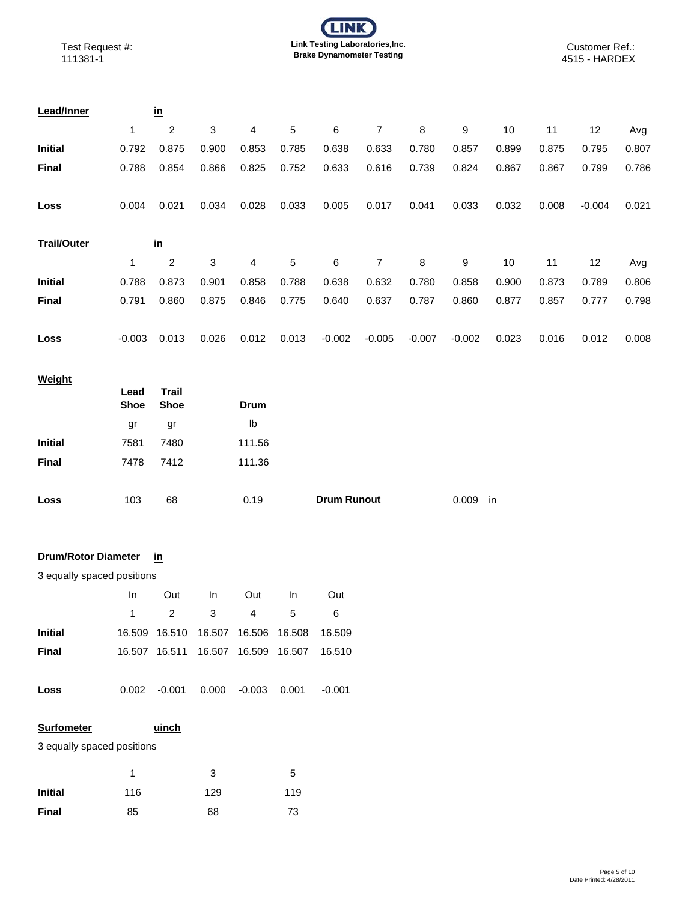| <b>Lead/Inner</b>  |          | <u>in</u> |       |       |       |          |          |          |          |       |       |          |       |
|--------------------|----------|-----------|-------|-------|-------|----------|----------|----------|----------|-------|-------|----------|-------|
|                    | 1        | 2         | 3     | 4     | 5     | 6        | 7        | 8        | 9        | 10    | 11    | 12       | Avg   |
| <b>Initial</b>     | 0.792    | 0.875     | 0.900 | 0.853 | 0.785 | 0.638    | 0.633    | 0.780    | 0.857    | 0.899 | 0.875 | 0.795    | 0.807 |
| <b>Final</b>       | 0.788    | 0.854     | 0.866 | 0.825 | 0.752 | 0.633    | 0.616    | 0.739    | 0.824    | 0.867 | 0.867 | 0.799    | 0.786 |
| Loss               | 0.004    | 0.021     | 0.034 | 0.028 | 0.033 | 0.005    | 0.017    | 0.041    | 0.033    | 0.032 | 0.008 | $-0.004$ | 0.021 |
| <b>Trail/Outer</b> |          | <u>in</u> |       |       |       |          |          |          |          |       |       |          |       |
|                    | 1        | 2         | 3     | 4     | 5     | 6        | 7        | 8        | 9        | 10    | 11    | 12       | Avg   |
| <b>Initial</b>     | 0.788    | 0.873     | 0.901 | 0.858 | 0.788 | 0.638    | 0.632    | 0.780    | 0.858    | 0.900 | 0.873 | 0.789    | 0.806 |
| <b>Final</b>       | 0.791    | 0.860     | 0.875 | 0.846 | 0.775 | 0.640    | 0.637    | 0.787    | 0.860    | 0.877 | 0.857 | 0.777    | 0.798 |
| Loss               | $-0.003$ | 0.013     | 0.026 | 0.012 | 0.013 | $-0.002$ | $-0.005$ | $-0.007$ | $-0.002$ | 0.023 | 0.016 | 0.012    | 0.008 |

## **Weight**

|                | Lead<br><b>Shoe</b> | Trail<br><b>Shoe</b> | Drum   |                    |             |
|----------------|---------------------|----------------------|--------|--------------------|-------------|
|                | gr                  | gr                   | lb     |                    |             |
| <b>Initial</b> | 7581                | 7480                 | 111.56 |                    |             |
| Final          | 7478                | 7412                 | 111.36 |                    |             |
|                |                     |                      |        |                    |             |
| Loss           | 103                 | 68                   | 0.19   | <b>Drum Runout</b> | 0.009<br>in |

#### **in** 5 6 lb **Drum/Rotor Diameter**

## 3 equally spaced positions 1

|                | In.   |               | Out In Out   |   | -In                                    | Out      |
|----------------|-------|---------------|--------------|---|----------------------------------------|----------|
|                | 1     | $\mathcal{P}$ | 3            | 4 | 5                                      | 6        |
| <b>Initial</b> |       |               |              |   | 16.509  16.510  16.507  16.506  16.508 | 16.509   |
| Final          |       |               |              |   |                                        | 16.510   |
|                |       |               |              |   |                                        |          |
| Loss           | 0.002 | -0.001        | 0.000 -0.003 |   | 0.001                                  | $-0.001$ |
|                |       |               |              |   |                                        |          |

## **Surfometer**

3 equally spaced positions

|              |     | 3   | '5  |
|--------------|-----|-----|-----|
| Initial      | 116 | 129 | 119 |
| <b>Final</b> | 85  | 68  | 73  |

**uinch** 7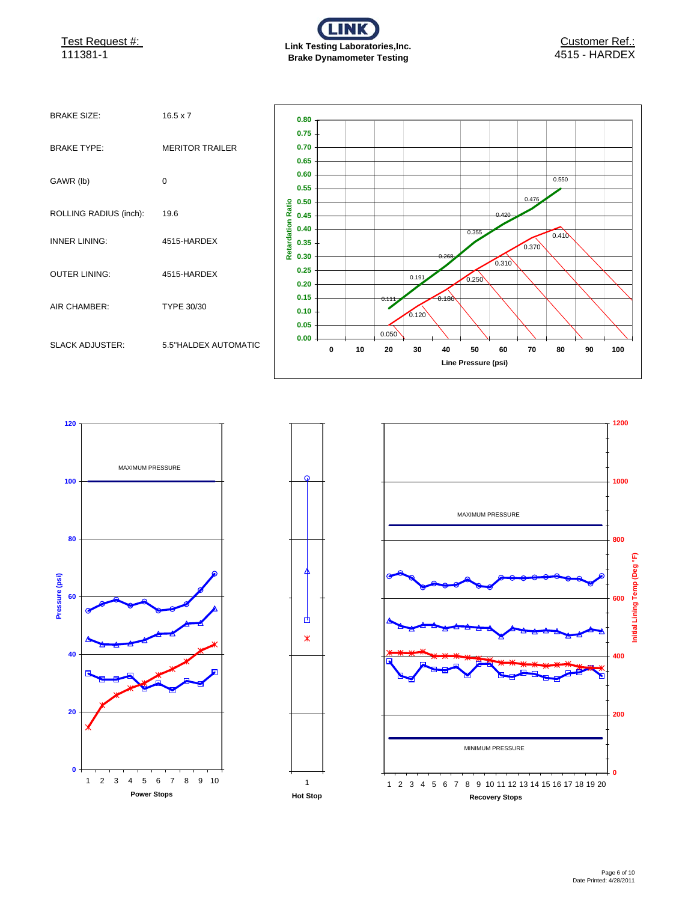Test Request #:



| <b>BRAKE SIZE:</b>     | $16.5 \times 7$        |
|------------------------|------------------------|
| <b>BRAKE TYPE:</b>     | <b>MERITOR TRAILER</b> |
| GAWR (lb)              | $\Omega$               |
| ROLLING RADIUS (inch): | 19.6                   |
| <b>INNER LINING:</b>   | 4515-HARDEX            |
| <b>OUTER LINING:</b>   | 4515-HARDEX            |
| AIR CHAMBER:           | TYPE 30/30             |
| <b>SLACK ADJUSTER:</b> | 5.5"HALDEX AUTOMATIC   |







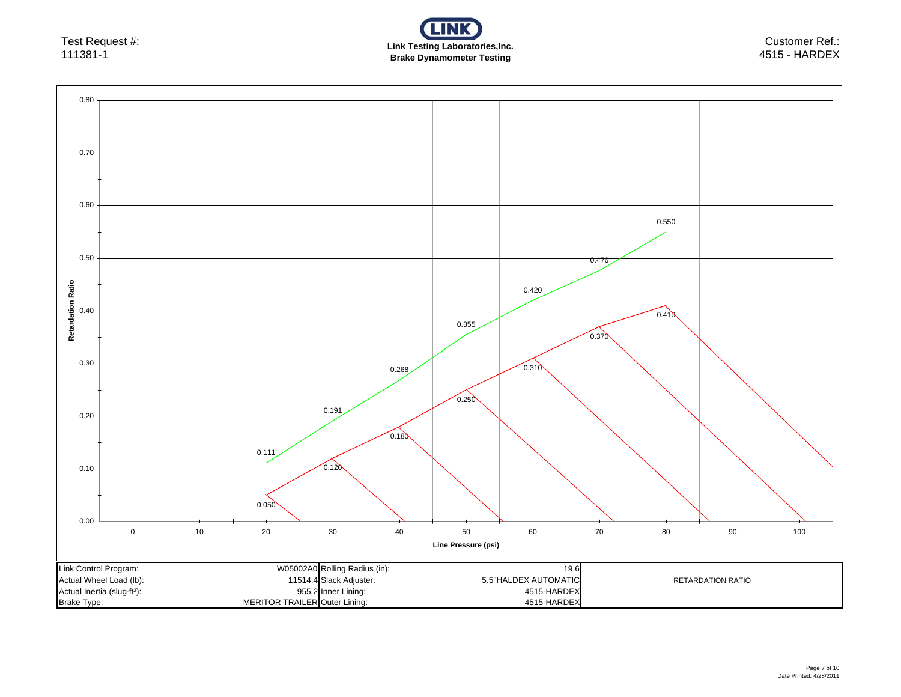

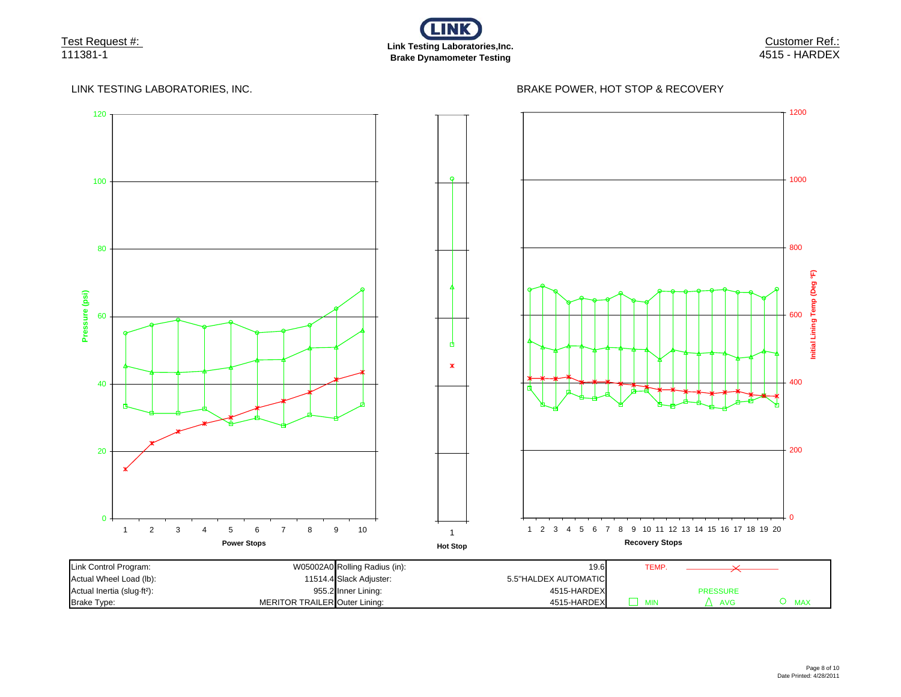

Customer Ref.: 4515 - HARDEX

### LINK TESTING LABORATORIES, INC.

## BRAKE POWER, HOT STOP & RECOVERY

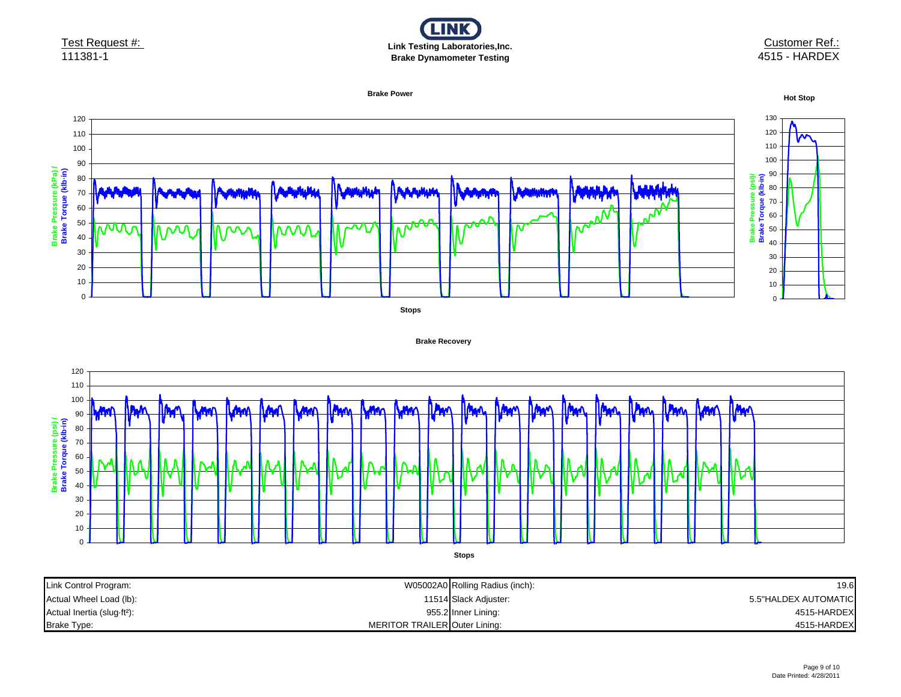

### Customer Ref.: 4515 - HARDEX



**Brake Recovery**